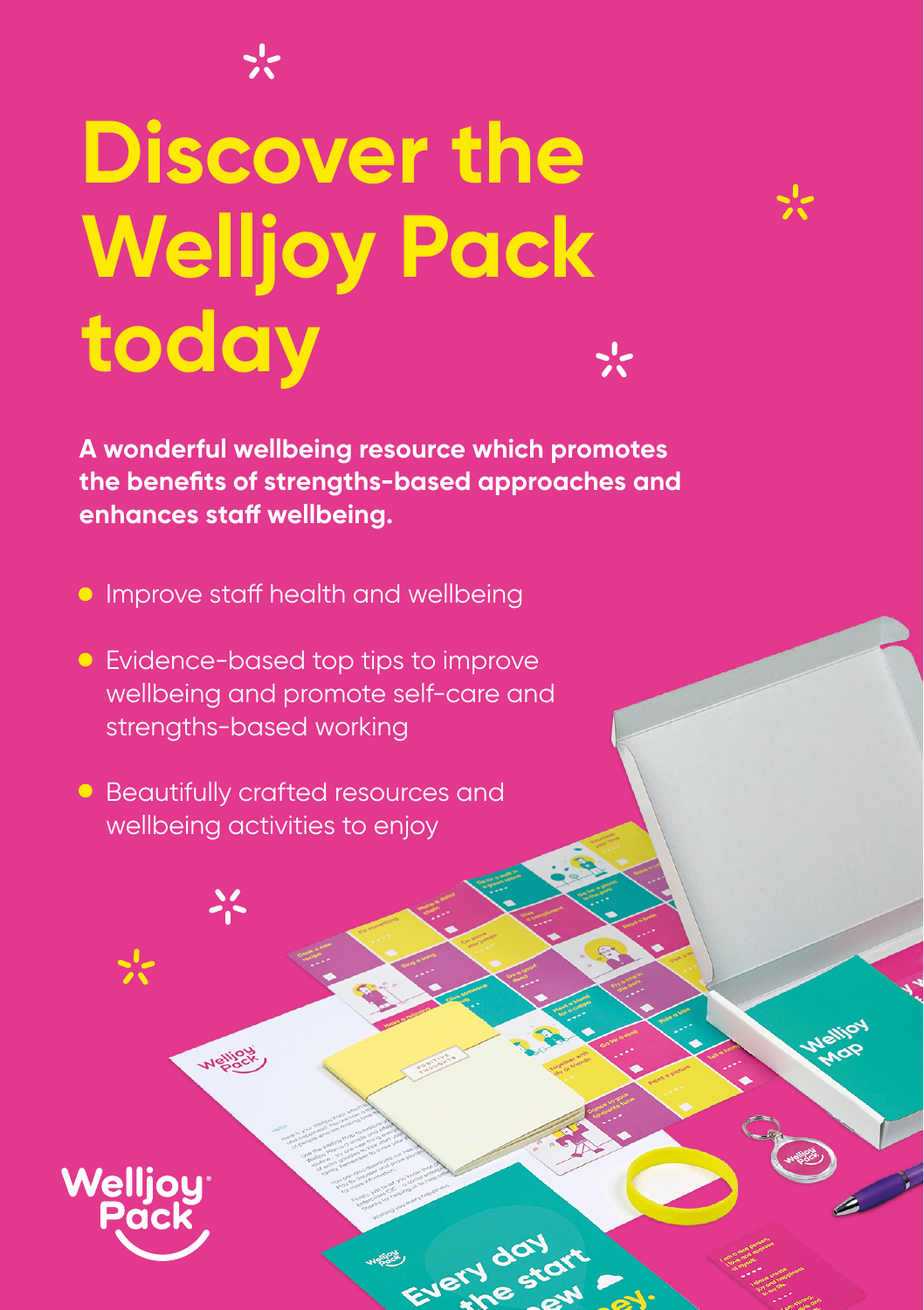## **Discover the Welljoy Pack today**

**A wonderful wellbeing resource which promotes the benefits of strengths-based approaches and enhances staff wellbeing.** 

EVEY

- **Improve staff health and wellbeing**
- **•** Evidence-based top tips to improve wellbeing and promote self-care and strengths-based working
- Beautifully crafted resources and wellbeing activities to enjoy

 $\lambda_{\rm c}$ 

**Mellipo**